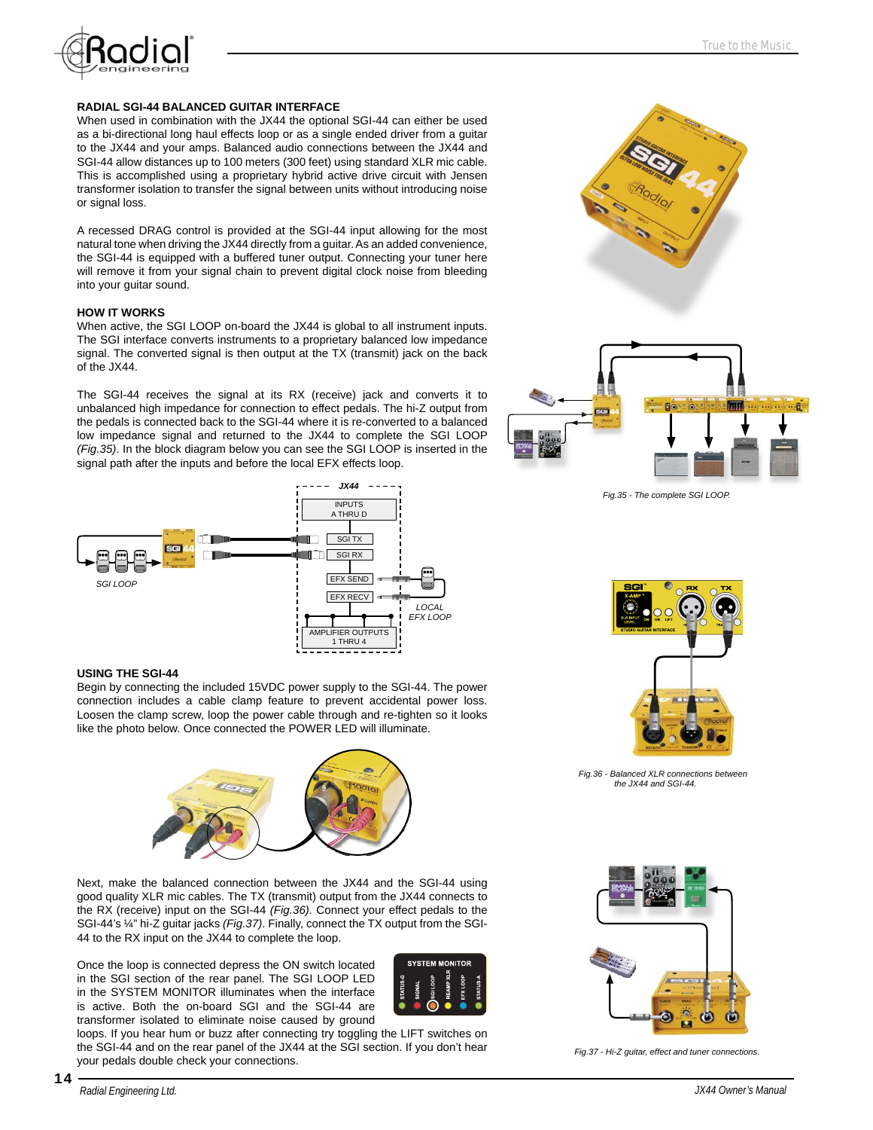

### **RADIAL SGI-44 BALANCED GUITAR INTERFACE**

When used in combination with the JX44 the optional SGI-44 can either be used as a bi-directional long haul effects loop or as a single ended driver from a guitar to the JX44 and your amps. Balanced audio connections between the JX44 and SGI-44 allow distances up to 100 meters (300 feet) using standard XLR mic cable. This is accomplished using a proprietary hybrid active drive circuit with Jensen transformer isolation to transfer the signal between units without introducing noise or signal loss.

A recessed DRAG control is provided at the SGI-44 input allowing for the most natural tone when driving the JX44 directly from a guitar. As an added convenience, the SGI-44 is equipped with a buffered tuner output. Connecting your tuner here will remove it from your signal chain to prevent digital clock noise from bleeding into your guitar sound.

### **HOW IT WORKS**

When active, the SGI LOOP on-board the JX44 is global to all instrument inputs. The SGI interface converts instruments to a proprietary balanced low impedance signal. The converted signal is then output at the TX (transmit) jack on the back of the JX44.

The SGI-44 receives the signal at its RX (receive) jack and converts it to unbalanced high impedance for connection to effect pedals. The hi-Z output from the pedals is connected back to the SGI-44 where it is re-converted to a balanced low impedance signal and returned to the JX44 to complete the SGI LOOP *(Fig.35)*. In the block diagram below you can see the SGI LOOP is inserted in the signal path after the inputs and before the local EFX effects loop.



#### **USING THE SGI-44**

Begin by connecting the included 15VDC power supply to the SGI-44. The power connection includes a cable clamp feature to prevent accidental power loss. Loosen the clamp screw, loop the power cable through and re-tighten so it looks like the photo below. Once connected the POWER LED will illuminate.



Next, make the balanced connection between the JX44 and the SGI-44 using good quality XLR mic cables. The TX (transmit) output from the JX44 connects to the RX (receive) input on the SGI-44 *(Fig.36).* Connect your effect pedals to the SGI-44's ¼" hi-Z guitar jacks *(Fig.37)*. Finally, connect the TX output from the SGI-44 to the RX input on the JX44 to complete the loop.

Once the loop is connected depress the ON switch located in the SGI section of the rear panel. The SGI LOOP LED in the SYSTEM MONITOR illuminates when the interface is active. Both the on-board SGI and the SGI-44 are transformer isolated to eliminate noise caused by ground



loops. If you hear hum or buzz after connecting try toggling the LIFT switches on the SGI-44 and on the rear panel of the JX44 at the SGI section. If you don't hear your pedals double check your connections.



*Fig.35 - The complete SGI LOOP.* 



*Fig.36 - Balanced XLR connections between the JX44 and SGI-44.*



*Fig.37 - Hi-Z guitar, effect and tuner connections.*